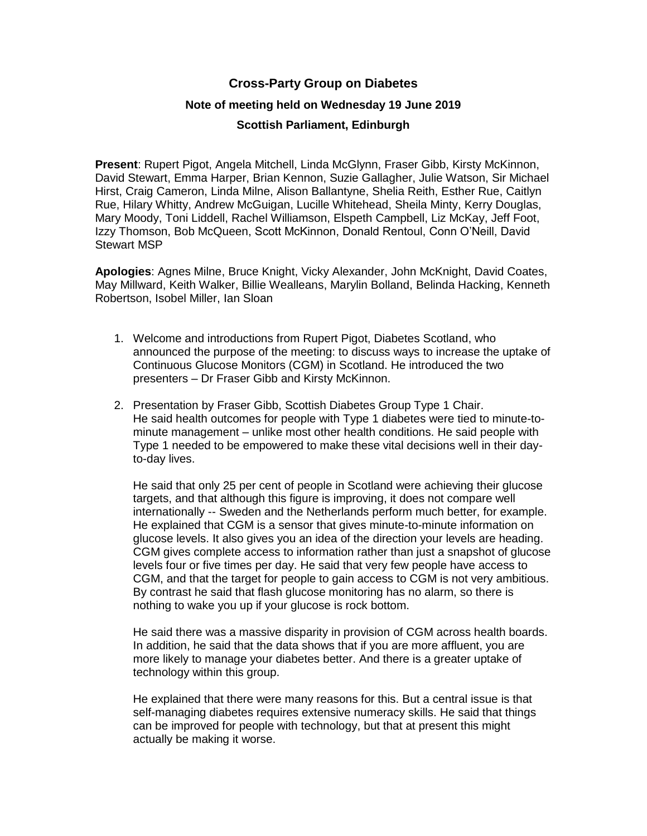## **Cross-Party Group on Diabetes**

## **Note of meeting held on Wednesday 19 June 2019**

## **Scottish Parliament, Edinburgh**

**Present**: Rupert Pigot, Angela Mitchell, Linda McGlynn, Fraser Gibb, Kirsty McKinnon, David Stewart, Emma Harper, Brian Kennon, Suzie Gallagher, Julie Watson, Sir Michael Hirst, Craig Cameron, Linda Milne, Alison Ballantyne, Shelia Reith, Esther Rue, Caitlyn Rue, Hilary Whitty, Andrew McGuigan, Lucille Whitehead, Sheila Minty, Kerry Douglas, Mary Moody, Toni Liddell, Rachel Williamson, Elspeth Campbell, Liz McKay, Jeff Foot, Izzy Thomson, Bob McQueen, Scott McKinnon, Donald Rentoul, Conn O'Neill, David Stewart MSP

**Apologies**: Agnes Milne, Bruce Knight, Vicky Alexander, John McKnight, David Coates, May Millward, Keith Walker, Billie Wealleans, Marylin Bolland, Belinda Hacking, Kenneth Robertson, Isobel Miller, Ian Sloan

- 1. Welcome and introductions from Rupert Pigot, Diabetes Scotland, who announced the purpose of the meeting: to discuss ways to increase the uptake of Continuous Glucose Monitors (CGM) in Scotland. He introduced the two presenters – Dr Fraser Gibb and Kirsty McKinnon.
- 2. Presentation by Fraser Gibb, Scottish Diabetes Group Type 1 Chair. He said health outcomes for people with Type 1 diabetes were tied to minute-tominute management – unlike most other health conditions. He said people with Type 1 needed to be empowered to make these vital decisions well in their dayto-day lives.

He said that only 25 per cent of people in Scotland were achieving their glucose targets, and that although this figure is improving, it does not compare well internationally -- Sweden and the Netherlands perform much better, for example. He explained that CGM is a sensor that gives minute-to-minute information on glucose levels. It also gives you an idea of the direction your levels are heading. CGM gives complete access to information rather than just a snapshot of glucose levels four or five times per day. He said that very few people have access to CGM, and that the target for people to gain access to CGM is not very ambitious. By contrast he said that flash glucose monitoring has no alarm, so there is nothing to wake you up if your glucose is rock bottom.

He said there was a massive disparity in provision of CGM across health boards. In addition, he said that the data shows that if you are more affluent, you are more likely to manage your diabetes better. And there is a greater uptake of technology within this group.

He explained that there were many reasons for this. But a central issue is that self-managing diabetes requires extensive numeracy skills. He said that things can be improved for people with technology, but that at present this might actually be making it worse.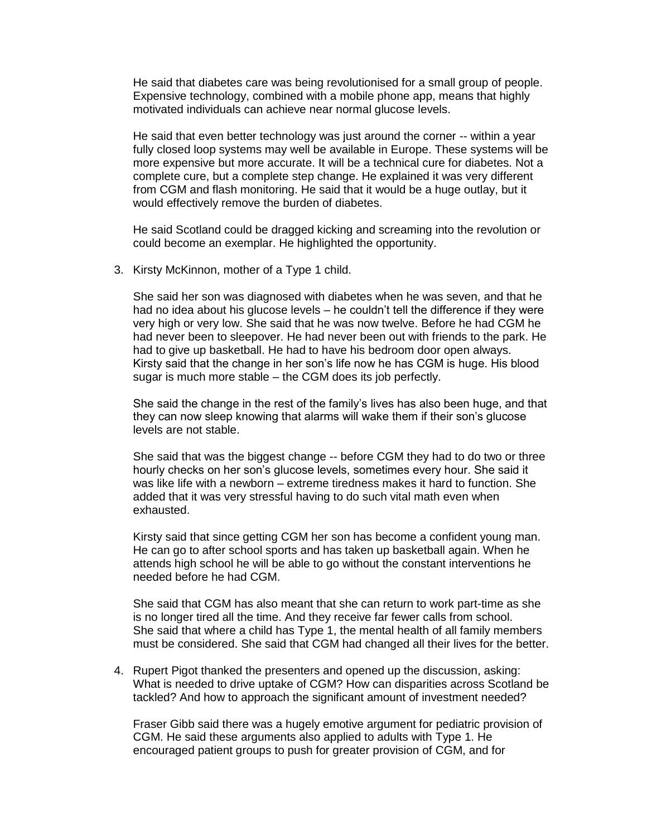He said that diabetes care was being revolutionised for a small group of people. Expensive technology, combined with a mobile phone app, means that highly motivated individuals can achieve near normal glucose levels.

He said that even better technology was just around the corner -- within a year fully closed loop systems may well be available in Europe. These systems will be more expensive but more accurate. It will be a technical cure for diabetes. Not a complete cure, but a complete step change. He explained it was very different from CGM and flash monitoring. He said that it would be a huge outlay, but it would effectively remove the burden of diabetes.

He said Scotland could be dragged kicking and screaming into the revolution or could become an exemplar. He highlighted the opportunity.

3. Kirsty McKinnon, mother of a Type 1 child.

She said her son was diagnosed with diabetes when he was seven, and that he had no idea about his glucose levels – he couldn't tell the difference if they were very high or very low. She said that he was now twelve. Before he had CGM he had never been to sleepover. He had never been out with friends to the park. He had to give up basketball. He had to have his bedroom door open always. Kirsty said that the change in her son's life now he has CGM is huge. His blood sugar is much more stable – the CGM does its job perfectly.

She said the change in the rest of the family's lives has also been huge, and that they can now sleep knowing that alarms will wake them if their son's glucose levels are not stable.

She said that was the biggest change -- before CGM they had to do two or three hourly checks on her son's glucose levels, sometimes every hour. She said it was like life with a newborn – extreme tiredness makes it hard to function. She added that it was very stressful having to do such vital math even when exhausted.

Kirsty said that since getting CGM her son has become a confident young man. He can go to after school sports and has taken up basketball again. When he attends high school he will be able to go without the constant interventions he needed before he had CGM.

She said that CGM has also meant that she can return to work part-time as she is no longer tired all the time. And they receive far fewer calls from school. She said that where a child has Type 1, the mental health of all family members must be considered. She said that CGM had changed all their lives for the better.

4. Rupert Pigot thanked the presenters and opened up the discussion, asking: What is needed to drive uptake of CGM? How can disparities across Scotland be tackled? And how to approach the significant amount of investment needed?

Fraser Gibb said there was a hugely emotive argument for pediatric provision of CGM. He said these arguments also applied to adults with Type 1. He encouraged patient groups to push for greater provision of CGM, and for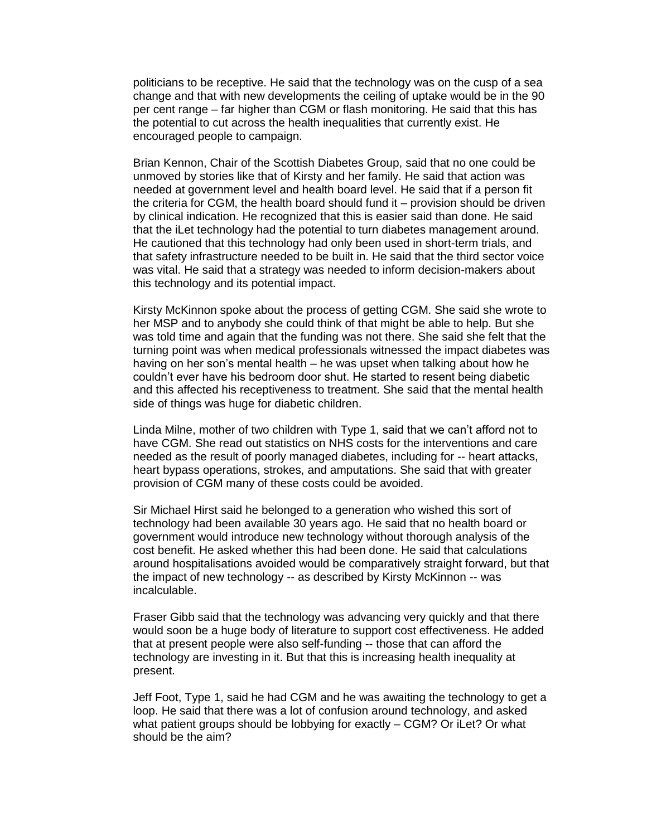politicians to be receptive. He said that the technology was on the cusp of a sea change and that with new developments the ceiling of uptake would be in the 90 per cent range – far higher than CGM or flash monitoring. He said that this has the potential to cut across the health inequalities that currently exist. He encouraged people to campaign.

Brian Kennon, Chair of the Scottish Diabetes Group, said that no one could be unmoved by stories like that of Kirsty and her family. He said that action was needed at government level and health board level. He said that if a person fit the criteria for CGM, the health board should fund it – provision should be driven by clinical indication. He recognized that this is easier said than done. He said that the iLet technology had the potential to turn diabetes management around. He cautioned that this technology had only been used in short-term trials, and that safety infrastructure needed to be built in. He said that the third sector voice was vital. He said that a strategy was needed to inform decision-makers about this technology and its potential impact.

Kirsty McKinnon spoke about the process of getting CGM. She said she wrote to her MSP and to anybody she could think of that might be able to help. But she was told time and again that the funding was not there. She said she felt that the turning point was when medical professionals witnessed the impact diabetes was having on her son's mental health – he was upset when talking about how he couldn't ever have his bedroom door shut. He started to resent being diabetic and this affected his receptiveness to treatment. She said that the mental health side of things was huge for diabetic children.

Linda Milne, mother of two children with Type 1, said that we can't afford not to have CGM. She read out statistics on NHS costs for the interventions and care needed as the result of poorly managed diabetes, including for -- heart attacks, heart bypass operations, strokes, and amputations. She said that with greater provision of CGM many of these costs could be avoided.

Sir Michael Hirst said he belonged to a generation who wished this sort of technology had been available 30 years ago. He said that no health board or government would introduce new technology without thorough analysis of the cost benefit. He asked whether this had been done. He said that calculations around hospitalisations avoided would be comparatively straight forward, but that the impact of new technology -- as described by Kirsty McKinnon -- was incalculable.

Fraser Gibb said that the technology was advancing very quickly and that there would soon be a huge body of literature to support cost effectiveness. He added that at present people were also self-funding -- those that can afford the technology are investing in it. But that this is increasing health inequality at present.

Jeff Foot, Type 1, said he had CGM and he was awaiting the technology to get a loop. He said that there was a lot of confusion around technology, and asked what patient groups should be lobbying for exactly – CGM? Or iLet? Or what should be the aim?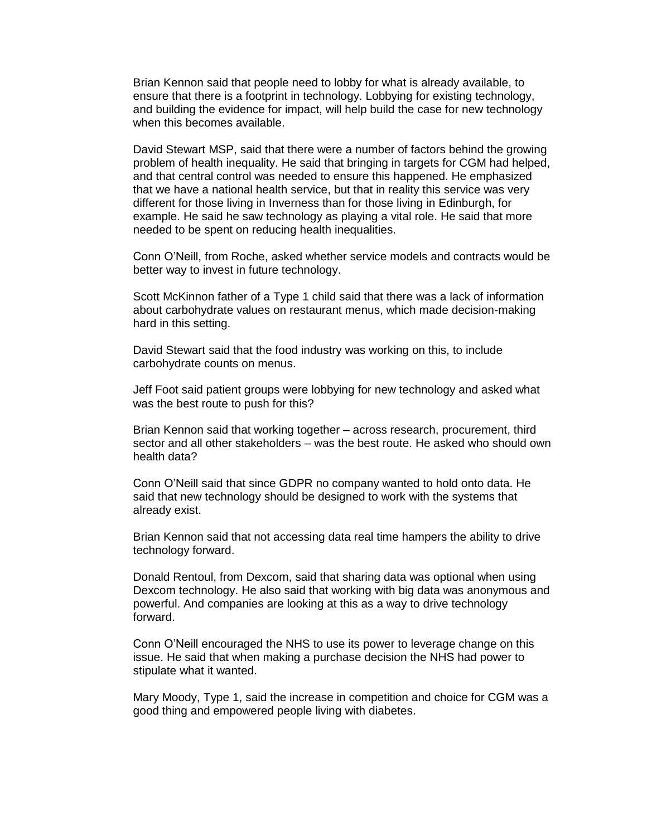Brian Kennon said that people need to lobby for what is already available, to ensure that there is a footprint in technology. Lobbying for existing technology, and building the evidence for impact, will help build the case for new technology when this becomes available.

David Stewart MSP, said that there were a number of factors behind the growing problem of health inequality. He said that bringing in targets for CGM had helped, and that central control was needed to ensure this happened. He emphasized that we have a national health service, but that in reality this service was very different for those living in Inverness than for those living in Edinburgh, for example. He said he saw technology as playing a vital role. He said that more needed to be spent on reducing health inequalities.

Conn O'Neill, from Roche, asked whether service models and contracts would be better way to invest in future technology.

Scott McKinnon father of a Type 1 child said that there was a lack of information about carbohydrate values on restaurant menus, which made decision-making hard in this setting.

David Stewart said that the food industry was working on this, to include carbohydrate counts on menus.

Jeff Foot said patient groups were lobbying for new technology and asked what was the best route to push for this?

Brian Kennon said that working together – across research, procurement, third sector and all other stakeholders – was the best route. He asked who should own health data?

Conn O'Neill said that since GDPR no company wanted to hold onto data. He said that new technology should be designed to work with the systems that already exist.

Brian Kennon said that not accessing data real time hampers the ability to drive technology forward.

Donald Rentoul, from Dexcom, said that sharing data was optional when using Dexcom technology. He also said that working with big data was anonymous and powerful. And companies are looking at this as a way to drive technology forward.

Conn O'Neill encouraged the NHS to use its power to leverage change on this issue. He said that when making a purchase decision the NHS had power to stipulate what it wanted.

Mary Moody, Type 1, said the increase in competition and choice for CGM was a good thing and empowered people living with diabetes.